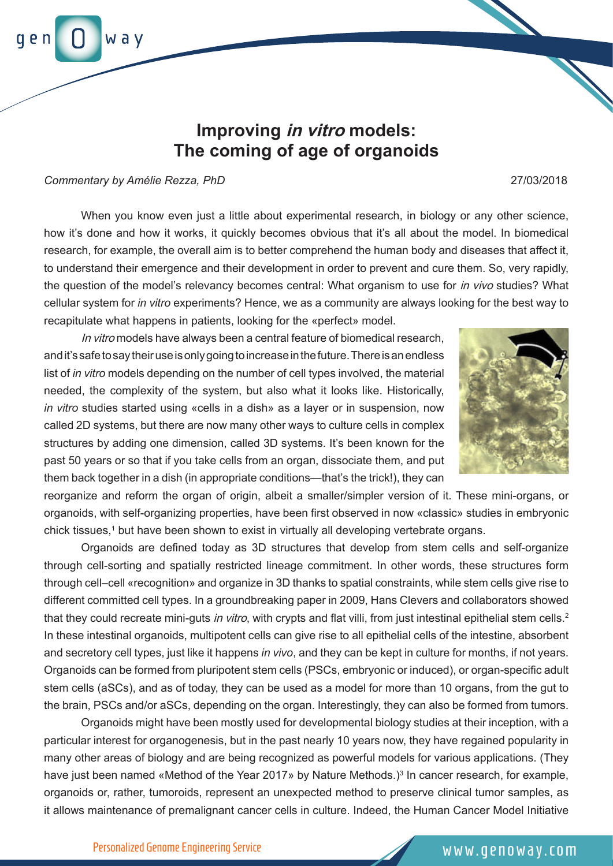way

## **Improving in vitro models: The coming of age of organoids**

*Commentary by Amélie Rezza, PhD* 27/03/2018

When you know even just a little about experimental research, in biology or any other science, how it's done and how it works, it quickly becomes obvious that it's all about the model. In biomedical research, for example, the overall aim is to better comprehend the human body and diseases that affect it, to understand their emergence and their development in order to prevent and cure them. So, very rapidly, the question of the model's relevancy becomes central: What organism to use for *in vivo* studies? What cellular system for *in vitro* experiments? Hence, we as a community are always looking for the best way to recapitulate what happens in patients, looking for the «perfect» model.

 *in vitro* studies started using «cells in a dish» as a layer or in suspension, now In vitro models have always been a central feature of biomedical research, and it's safe to say their use is only going to increase in the future. There is an endless list of *in vitro* models depending on the number of cell types involved, the material needed, the complexity of the system, but also what it looks like. Historically, called 2D systems, but there are now many other ways to culture cells in complex structures by adding one dimension, called 3D systems. It's been known for the past 50 years or so that if you take cells from an organ, dissociate them, and put them back together in a dish (in appropriate conditions—that's the trick!), they can

reorganize and reform the organ of origin, albeit a smaller/simpler version of it. These mini-organs, or organoids, with self-organizing properties, have been first observed in now «classic» studies in embryonic chick tissues,1 but have been shown to exist in virtually all developing vertebrate organs.

Organoids are defined today as 3D structures that develop from stem cells and self-organize through cell-sorting and spatially restricted lineage commitment. In other words, these structures form through cell–cell «recognition» and organize in 3D thanks to spatial constraints, while stem cells give rise to different committed cell types. In a groundbreaking paper in 2009, Hans Clevers and collaborators showed that they could recreate mini-guts in vitro, with crypts and flat villi, from just intestinal epithelial stem cells.<sup>2</sup> In these intestinal organoids, multipotent cells can give rise to all epithelial cells of the intestine, absorbent and secretory cell types, just like it happens *in vivo*, and they can be kept in culture for months, if not years. Organoids can be formed from pluripotent stem cells (PSCs, embryonic or induced), or organ-specific adult stem cells (aSCs), and as of today, they can be used as a model for more than 10 organs, from the gut to the brain, PSCs and/or aSCs, depending on the organ. Interestingly, they can also be formed from tumors.

Organoids might have been mostly used for developmental biology studies at their inception, with a particular interest for organogenesis, but in the past nearly 10 years now, they have regained popularity in many other areas of biology and are being recognized as powerful models for various applications. (They have just been named «Method of the Year 2017» by Nature Methods.)<sup>3</sup> In cancer research, for example, organoids or, rather, tumoroids, represent an unexpected method to preserve clinical tumor samples, as it allows maintenance of premalignant cancer cells in culture. Indeed, the Human Cancer Model Initiative

Personalized Genome Engineering Service www.genoway.com